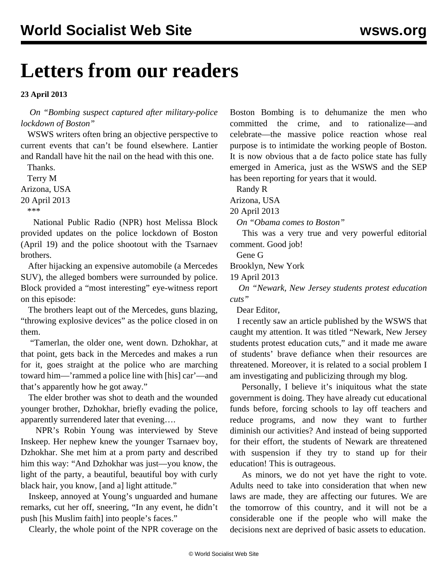## **Letters from our readers**

## **23 April 2013**

 *On ["Bombing suspect captured after military-police](/en/articles/2013/04/20/bost-a20.html) [lockdown of Boston"](/en/articles/2013/04/20/bost-a20.html)*

 WSWS writers often bring an objective perspective to current events that can't be found elsewhere. Lantier and Randall have hit the nail on the head with this one.

 Thanks. Terry M

Arizona, USA

20 April 2013

\*\*\*

 National Public Radio (NPR) host Melissa Block provided updates on the police lockdown of Boston (April 19) and the police shootout with the Tsarnaev brothers.

 After hijacking an expensive automobile (a Mercedes SUV), the alleged bombers were surrounded by police. Block provided a "most interesting" eye-witness report on this episode:

 The brothers leapt out of the Mercedes, guns blazing, "throwing explosive devices" as the police closed in on them.

 "Tamerlan, the older one, went down. Dzhokhar, at that point, gets back in the Mercedes and makes a run for it, goes straight at the police who are marching toward him—'rammed a police line with [his] car'—and that's apparently how he got away."

 The elder brother was shot to death and the wounded younger brother, Dzhokhar, briefly evading the police, apparently surrendered later that evening….

 NPR's Robin Young was interviewed by Steve Inskeep. Her nephew knew the younger Tsarnaev boy, Dzhokhar. She met him at a prom party and described him this way: "And Dzhokhar was just—you know, the light of the party, a beautiful, beautiful boy with curly black hair, you know, [and a] light attitude."

 Inskeep, annoyed at Young's unguarded and humane remarks, cut her off, sneering, "In any event, he didn't push [his Muslim faith] into people's faces."

Clearly, the whole point of the NPR coverage on the

Boston Bombing is to dehumanize the men who committed the crime, and to rationalize—and celebrate—the massive police reaction whose real purpose is to intimidate the working people of Boston. It is now obvious that a de facto police state has fully emerged in America, just as the WSWS and the SEP has been reporting for years that it would.

Randy R

Arizona, USA

20 April 2013

*On "[Obama comes to Boston"](/en/articles/2013/04/19/pers-a19.html)*

 This was a very true and very powerful editorial comment. Good job!

Gene G

Brooklyn, New York

19 April 2013

 *On "[Newark, New Jersey students protest education](/en/articles/2013/04/11/newa-a11.html) [cuts"](/en/articles/2013/04/11/newa-a11.html)*

Dear Editor,

 I recently saw an article published by the WSWS that caught my attention. It was titled "Newark, New Jersey students protest education cuts," and it made me aware of students' brave defiance when their resources are threatened. Moreover, it is related to a social problem I am investigating and publicizing through my blog.

 Personally, I believe it's iniquitous what the state government is doing. They have already cut educational funds before, forcing schools to lay off teachers and reduce programs, and now they want to further diminish our activities? And instead of being supported for their effort, the students of Newark are threatened with suspension if they try to stand up for their education! This is outrageous.

 As minors, we do not yet have the right to vote. Adults need to take into consideration that when new laws are made, they are affecting our futures. We are the tomorrow of this country, and it will not be a considerable one if the people who will make the decisions next are deprived of basic assets to education.